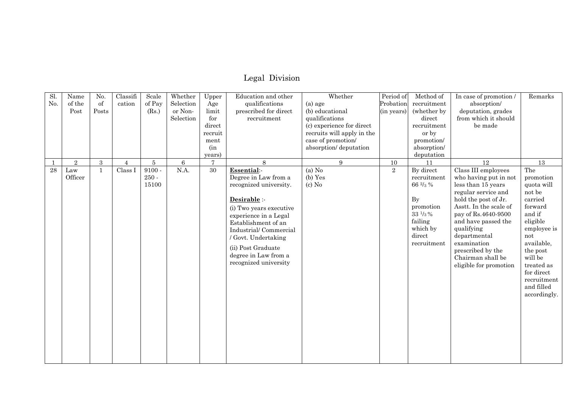## Legal Division

| $\overline{sl}$ | Name       | No.              | Classifi       | Scale           | Whether   | Upper          | Education and other     | Whether                    | Period of      | Method of                                  | In case of promotion/  | Remarks      |
|-----------------|------------|------------------|----------------|-----------------|-----------|----------------|-------------------------|----------------------------|----------------|--------------------------------------------|------------------------|--------------|
| No.             | of the     | of               | cation         | of Pay          | Selection | Age            | qualifications          | $(a)$ age                  | Probation      | recruitment                                | absorption/            |              |
|                 | Post       | Posts            |                | (Rs.)           | or Non-   | limit          | prescribed for direct   | (b) educational            | (in years)     | (whether by                                | deputation, grades     |              |
|                 |            |                  |                |                 | Selection | for            | recruitment             | qualifications             |                | direct                                     | from which it should   |              |
|                 |            |                  |                |                 |           | direct         |                         | (c) experience for direct  |                | recruitment                                | be made                |              |
|                 |            |                  |                |                 |           | recruit        |                         | recruits will apply in the |                | or by                                      |                        |              |
|                 |            |                  |                |                 |           | ment           |                         | case of promotion/         |                | promotion/                                 |                        |              |
|                 |            |                  |                |                 |           | (in            |                         | absorption/deputation      |                | absorption/                                |                        |              |
|                 |            |                  |                |                 |           | years)         |                         |                            |                | deputation                                 |                        |              |
| -1              | $\sqrt{2}$ | $\boldsymbol{3}$ | $\overline{4}$ | $5\phantom{.0}$ | $\,6\,$   | $\overline{7}$ | 8                       | 9                          | 10             | 11                                         | 12                     | 13           |
| 28              | Law        | $\mathbf{1}$     | Class I        | $9100 -$        | N.A.      | 30             | Essential:-             | (a) No                     | $\overline{2}$ | By direct                                  | Class III employees    | The          |
|                 | Officer    |                  |                | $250 -$         |           |                | Degree in Law from a    | (b) Yes                    |                | recruitment                                | who having put in not  | promotion    |
|                 |            |                  |                | 15100           |           |                | recognized university.  | $(c)$ No                   |                | 66 2/3 %                                   | less than 15 years     | quota will   |
|                 |            |                  |                |                 |           |                |                         |                            |                |                                            | regular service and    | not be       |
|                 |            |                  |                |                 |           |                | Desirable :-            |                            |                | By                                         | hold the post of Jr.   | carried      |
|                 |            |                  |                |                 |           |                | (i) Two years executive |                            |                | promotion                                  | Asstt. In the scale of | forward      |
|                 |            |                  |                |                 |           |                | experience in a Legal   |                            |                | $33\;{\rm \textit{1}}/\!_{\textit{3}}\;\%$ | pay of Rs.4640-9500    | and if       |
|                 |            |                  |                |                 |           |                | Establishment of an     |                            |                | failing                                    | and have passed the    | eligible     |
|                 |            |                  |                |                 |           |                | Industrial/Commercial   |                            |                | which by                                   | qualifying             | employee is  |
|                 |            |                  |                |                 |           |                | / Govt. Undertaking     |                            |                | direct                                     | departmental           | not          |
|                 |            |                  |                |                 |           |                | (ii) Post Graduate      |                            |                | recruitment                                | examination            | available,   |
|                 |            |                  |                |                 |           |                | degree in Law from a    |                            |                |                                            | prescribed by the      | the post     |
|                 |            |                  |                |                 |           |                | recognized university   |                            |                |                                            | Chairman shall be      | will be      |
|                 |            |                  |                |                 |           |                |                         |                            |                |                                            | eligible for promotion | treated as   |
|                 |            |                  |                |                 |           |                |                         |                            |                |                                            |                        | for direct   |
|                 |            |                  |                |                 |           |                |                         |                            |                |                                            |                        | recruitment  |
|                 |            |                  |                |                 |           |                |                         |                            |                |                                            |                        | and filled   |
|                 |            |                  |                |                 |           |                |                         |                            |                |                                            |                        | accordingly. |
|                 |            |                  |                |                 |           |                |                         |                            |                |                                            |                        |              |
|                 |            |                  |                |                 |           |                |                         |                            |                |                                            |                        |              |
|                 |            |                  |                |                 |           |                |                         |                            |                |                                            |                        |              |
|                 |            |                  |                |                 |           |                |                         |                            |                |                                            |                        |              |
|                 |            |                  |                |                 |           |                |                         |                            |                |                                            |                        |              |
|                 |            |                  |                |                 |           |                |                         |                            |                |                                            |                        |              |
|                 |            |                  |                |                 |           |                |                         |                            |                |                                            |                        |              |
|                 |            |                  |                |                 |           |                |                         |                            |                |                                            |                        |              |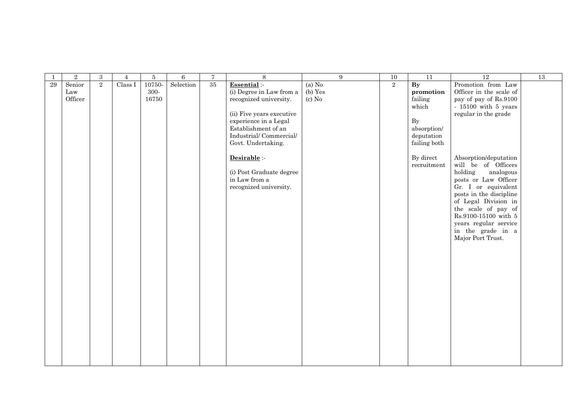|    | $\,2$   | $\sqrt{3}$     | $\overline{4}$ | $\overline{5}$ | $\,6\,$   | $\sqrt{7}$ | 8                         | $\overline{9}$ | 10 | 11                       | 12                      | 13 |
|----|---------|----------------|----------------|----------------|-----------|------------|---------------------------|----------------|----|--------------------------|-------------------------|----|
| 29 | Senior  | $\overline{2}$ | Class I        | 10750-         | Selection | 35         | Essential :-              | (a) No         | 2  | $\overline{\mathbf{By}}$ | Promotion from Law      |    |
|    | Law     |                |                | 300-           |           |            | (i) Degree in Law from a  | (b) Yes        |    | promotion                | Officer in the scale of |    |
|    | Officer |                |                | 16750          |           |            | recognized university.    | $(c)$ No       |    | failing                  | pay of pay of Rs.9100   |    |
|    |         |                |                |                |           |            |                           |                |    | which                    | $-15100$ with $5$ years |    |
|    |         |                |                |                |           |            | (ii) Five years executive |                |    |                          | regular in the grade    |    |
|    |         |                |                |                |           |            | experience in a Legal     |                |    | $\mathbf{By}$            |                         |    |
|    |         |                |                |                |           |            | Establishment of an       |                |    | absorption/              |                         |    |
|    |         |                |                |                |           |            | Industrial/Commercial/    |                |    | deputation               |                         |    |
|    |         |                |                |                |           |            | Govt. Undertaking.        |                |    | failing both             |                         |    |
|    |         |                |                |                |           |            | Desirable :-              |                |    | By direct                | Absorption/deputation   |    |
|    |         |                |                |                |           |            |                           |                |    | recruitment              | will be of Officers     |    |
|    |         |                |                |                |           |            | (i) Post Graduate degree  |                |    |                          | holding<br>analogous    |    |
|    |         |                |                |                |           |            | in Law from a             |                |    |                          | posts or Law Officer    |    |
|    |         |                |                |                |           |            | recognized university.    |                |    |                          | Gr. I or equivalent     |    |
|    |         |                |                |                |           |            |                           |                |    |                          | posts in the discipline |    |
|    |         |                |                |                |           |            |                           |                |    |                          | of Legal Division in    |    |
|    |         |                |                |                |           |            |                           |                |    |                          | the scale of pay of     |    |
|    |         |                |                |                |           |            |                           |                |    |                          | Rs.9100-15100 with 5    |    |
|    |         |                |                |                |           |            |                           |                |    |                          | years regular service   |    |
|    |         |                |                |                |           |            |                           |                |    |                          | in the grade in a       |    |
|    |         |                |                |                |           |            |                           |                |    |                          | Major Port Trust.       |    |
|    |         |                |                |                |           |            |                           |                |    |                          |                         |    |
|    |         |                |                |                |           |            |                           |                |    |                          |                         |    |
|    |         |                |                |                |           |            |                           |                |    |                          |                         |    |
|    |         |                |                |                |           |            |                           |                |    |                          |                         |    |
|    |         |                |                |                |           |            |                           |                |    |                          |                         |    |
|    |         |                |                |                |           |            |                           |                |    |                          |                         |    |
|    |         |                |                |                |           |            |                           |                |    |                          |                         |    |
|    |         |                |                |                |           |            |                           |                |    |                          |                         |    |
|    |         |                |                |                |           |            |                           |                |    |                          |                         |    |
|    |         |                |                |                |           |            |                           |                |    |                          |                         |    |
|    |         |                |                |                |           |            |                           |                |    |                          |                         |    |
|    |         |                |                |                |           |            |                           |                |    |                          |                         |    |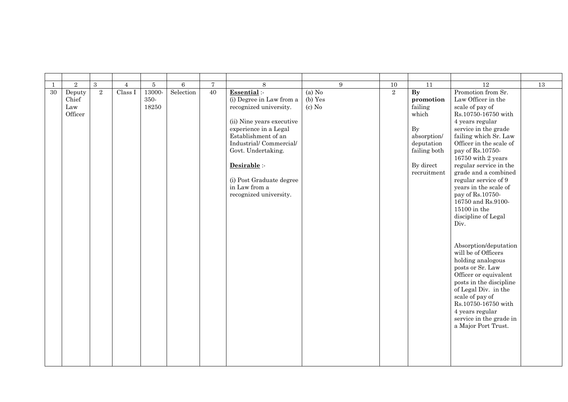| 1      | $\sqrt{2}$                        | $\boldsymbol{3}$ | $\overline{4}$ | 5                       | 6         | $\overline{7}$  | 8                                                                                                                                                                                                                                                                                      | 9                               | $10\,$         | 11                                                                                                                                     | 12                                                                                                                                                                                                                                                                                                                                                                                                                                                                                                                                                                                                                                                                                                                 | 13 |
|--------|-----------------------------------|------------------|----------------|-------------------------|-----------|-----------------|----------------------------------------------------------------------------------------------------------------------------------------------------------------------------------------------------------------------------------------------------------------------------------------|---------------------------------|----------------|----------------------------------------------------------------------------------------------------------------------------------------|--------------------------------------------------------------------------------------------------------------------------------------------------------------------------------------------------------------------------------------------------------------------------------------------------------------------------------------------------------------------------------------------------------------------------------------------------------------------------------------------------------------------------------------------------------------------------------------------------------------------------------------------------------------------------------------------------------------------|----|
| $30\,$ | Deputy<br>Chief<br>Law<br>Officer | $\overline{2}$   | Class I        | 13000-<br>350-<br>18250 | Selection | $\overline{40}$ | Essential :-<br>(i) Degree in Law from a<br>recognized university.<br>(ii) Nine years executive<br>experience in a Legal<br>Establishment of an<br>Industrial/Commercial/<br>Govt. Undertaking.<br>Desirable :-<br>(i) Post Graduate degree<br>in Law from a<br>recognized university. | $(a)$ No<br>(b) Yes<br>$(c)$ No | $\overline{2}$ | $\mathbf{B}\mathbf{y}$<br>promotion<br>failing<br>which<br>By<br>absorption/<br>deputation<br>failing both<br>By direct<br>recruitment | Promotion from Sr.<br>Law Officer in the<br>scale of pay of<br>Rs.10750-16750 with<br>4 years regular<br>service in the grade<br>failing which Sr. Law<br>Officer in the scale of<br>pay of Rs.10750-<br>16750 with 2 years<br>regular service in the<br>grade and a combined<br>regular service of 9<br>years in the scale of<br>pay of Rs.10750-<br>16750 and Rs.9100-<br>$15100$ in the $\,$<br>discipline of Legal<br>Div.<br>Absorption/deputation<br>will be of Officers<br>holding analogous<br>posts or Sr. Law<br>Officer or equivalent<br>posts in the discipline<br>of Legal Div. in the<br>scale of pay of<br>Rs.10750-16750 with<br>4 years regular<br>service in the grade in<br>a Major Port Trust. |    |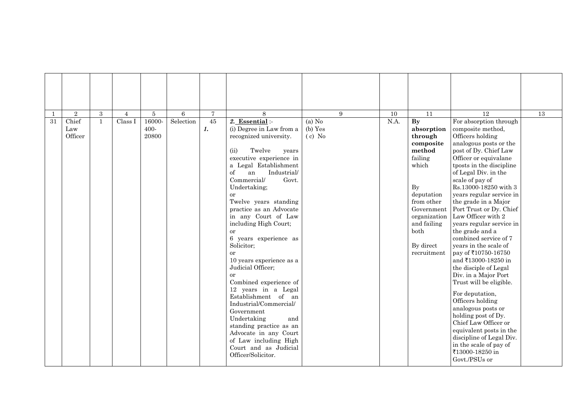| 1  | $\overline{2}$          | 3            | $\overline{4}$ | 5                       | 6         | $\tau$               | 8                                                                                                                                                                                                                                                                                                                                                                                                                                                                                                                                                                                                                                                                                                                               | 9                               | 10   | 11                                                                                                                                                                                               | 12                                                                                                                                                                                                                                                                                                                                                                                                                                                                                                                                                                                                                                                                                                                                                                                                           | 13 |
|----|-------------------------|--------------|----------------|-------------------------|-----------|----------------------|---------------------------------------------------------------------------------------------------------------------------------------------------------------------------------------------------------------------------------------------------------------------------------------------------------------------------------------------------------------------------------------------------------------------------------------------------------------------------------------------------------------------------------------------------------------------------------------------------------------------------------------------------------------------------------------------------------------------------------|---------------------------------|------|--------------------------------------------------------------------------------------------------------------------------------------------------------------------------------------------------|--------------------------------------------------------------------------------------------------------------------------------------------------------------------------------------------------------------------------------------------------------------------------------------------------------------------------------------------------------------------------------------------------------------------------------------------------------------------------------------------------------------------------------------------------------------------------------------------------------------------------------------------------------------------------------------------------------------------------------------------------------------------------------------------------------------|----|
| 31 | Chief<br>Law<br>Officer | $\mathbf{1}$ | Class I        | 16000-<br>400-<br>20800 | Selection | 45<br>$\mathbf{1}$ . | 2. Essential :-<br>(i) Degree in Law from a<br>recognized university.<br>Twelve<br>(ii)<br>years<br>executive experience in<br>a Legal Establishment<br>of<br>Industrial/<br>an<br>Commercial/<br>Govt.<br>Undertaking;<br>or<br>Twelve years standing<br>practice as an Advocate<br>in any Court of Law<br>including High Court;<br>or<br>6 years experience as<br>Solicitor;<br><b>or</b><br>10 years experience as a<br>Judicial Officer;<br><sub>or</sub><br>Combined experience of<br>12 years in a Legal<br>Establishment of an<br>Industrial/Commercial/<br>Government<br>Undertaking<br>and<br>standing practice as an<br>Advocate in any Court<br>of Law including High<br>Court and as Judicial<br>Officer/Solicitor. | (a) $N0$<br>(b) Yes<br>$(c)$ No | N.A. | By<br>absorption<br>through<br>composite<br>method<br>failing<br>which<br><b>By</b><br>deputation<br>from other<br>Government<br>organization<br>and failing<br>both<br>By direct<br>recruitment | For absorption through<br>composite method,<br>Officers holding<br>analogous posts or the<br>post of Dy. Chief Law<br>Officer or equivalane<br>tposts in the discipline<br>of Legal Div. in the<br>scale of pay of<br>Rs.13000-18250 with 3<br>years regular service in<br>the grade in a Major<br>Port Trust or Dy. Chief<br>Law Officer with 2<br>years regular service in<br>the grade and a<br>combined service of 7<br>years in the scale of<br>pay of ₹10750-16750<br>and ₹13000-18250 in<br>the disciple of Legal<br>Div. in a Major Port<br>Trust will be eligible.<br>For deputation,<br>Officers holding<br>analogous posts or<br>holding post of Dy.<br>Chief Law Officer or<br>equivalent posts in the<br>discipline of Legal Div.<br>in the scale of pay of<br>₹13000-18250 in<br>Govt./PSUs or |    |